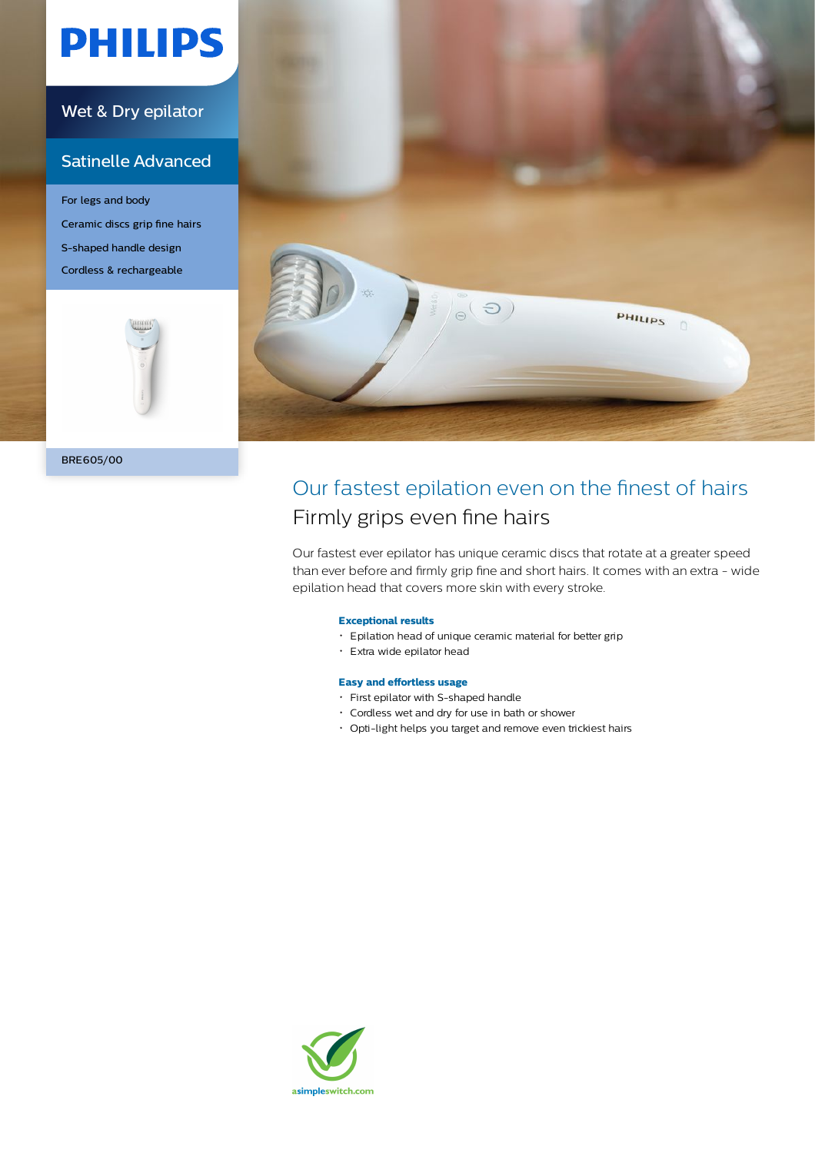# **PHILIPS**

### Wet & Dry epilator

### Satinelle Advanced

For legs and body Ceramic discs grip fine hairs S-shaped handle design Cordless & rechargeable





## Our fastest epilation even on the finest of hairs Firmly grips even fine hairs

Our fastest ever epilator has unique ceramic discs that rotate at a greater speed than ever before and firmly grip fine and short hairs. It comes with an extra - wide epilation head that covers more skin with every stroke.

### **Exceptional results**

- Epilation head of unique ceramic material for better grip
- Extra wide epilator head

#### **Easy and effortless usage**

- First epilator with S-shaped handle
- Cordless wet and dry for use in bath or shower
- Opti-light helps you target and remove even trickiest hairs